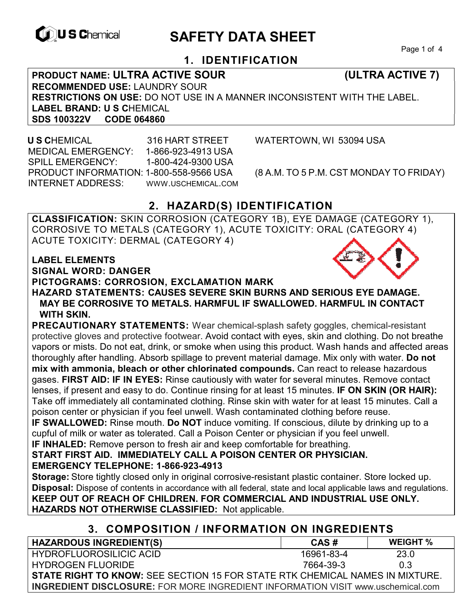

# **EXAGREM** SAFETY DATA SHEET

Page 1 of 4

# **1. IDENTIFICATION**

**PRODUCT NAME: ULTRA ACTIVE SOUR (ULTRA ACTIVE 7) RECOMMENDED USE:** LAUNDRY SOUR **RESTRICTIONS ON USE:** DO NOT USE IN A MANNER INCONSISTENT WITH THE LABEL. **LABEL BRAND: U S C**HEMICAL **SDS 100322V** 

 **U S C**HEMICAL 316 HART STREET WATERTOWN, WI 53094 USA MEDICAL EMERGENCY: 1-866-923-4913 USA SPILL EMERGENCY: 1-800-424-9300 USA PRODUCT INFORMATION: 1-800-558-9566 USA (8 A.M. TO 5 P.M. CST MONDAY TO FRIDAY) INTERNET ADDRESS: WWW.USCHEMICAL.COM

# **2. HAZARD(S) IDENTIFICATION**

**CLASSIFICATION:** SKIN CORROSION (CATEGORY 1B), EYE DAMAGE (CATEGORY 1), CORROSIVE TO METALS (CATEGORY 1), ACUTE TOXICITY: ORAL (CATEGORY 4) ACUTE TOXICITY: DERMAL (CATEGORY 4)

#### **LABEL ELEMENTS**

**SIGNAL WORD: DANGER**

### **PICTOGRAMS: CORROSION, EXCLAMATION MARK**

**HAZARD STATEMENTS: CAUSES SEVERE SKIN BURNS AND SERIOUS EYE DAMAGE. MAY BE CORROSIVE TO METALS. HARMFUL IF SWALLOWED. HARMFUL IN CONTACT WITH SKIN.**

**PRECAUTIONARY STATEMENTS:** Wear chemical-splash safety goggles, chemical-resistant protective gloves and protective footwear. Avoid contact with eyes, skin and clothing. Do not breathe vapors or mists. Do not eat, drink, or smoke when using this product. Wash hands and affected areas thoroughly after handling. Absorb spillage to prevent material damage. Mix only with water. **Do not mix with ammonia, bleach or other chlorinated compounds.** Can react to release hazardous gases. **FIRST AID: IF IN EYES:** Rinse cautiously with water for several minutes. Remove contact lenses, if present and easy to do. Continue rinsing for at least 15 minutes. **IF ON SKIN (OR HAIR):** Take off immediately all contaminated clothing. Rinse skin with water for at least 15 minutes. Call a poison center or physician if you feel unwell. Wash contaminated clothing before reuse.

**IF SWALLOWED:** Rinse mouth. **Do NOT** induce vomiting. If conscious, dilute by drinking up to a cupful of milk or water as tolerated. Call a Poison Center or physician if you feel unwell. **IF INHALED:** Remove person to fresh air and keep comfortable for breathing.

**START FIRST AID. IMMEDIATELY CALL A POISON CENTER OR PHYSICIAN. EMERGENCY TELEPHONE: 1-866-923-4913** 

**Storage:** Store tightly closed only in original corrosive-resistant plastic container. Store locked up. **Disposal:** Dispose of contents in accordance with all federal, state and local applicable laws and regulations. **KEEP OUT OF REACH OF CHILDREN. FOR COMMERCIAL AND INDUSTRIAL USE ONLY. HAZARDS NOT OTHERWISE CLASSIFIED:** Not applicable.

# **3. COMPOSITION / INFORMATION ON INGREDIENTS**

| <b>HAZARDOUS INGREDIENT(S)</b>                                                         | CAS#       | <b>WEIGHT</b> % |  |
|----------------------------------------------------------------------------------------|------------|-----------------|--|
| <b>HYDROFLUOROSILICIC ACID</b>                                                         | 16961-83-4 | 23.0            |  |
| <b>HYDROGEN FLUORIDE</b>                                                               | 7664-39-3  | 03              |  |
| <b>STATE RIGHT TO KNOW:</b> SEE SECTION 15 FOR STATE RTK CHEMICAL NAMES IN MIXTURE.    |            |                 |  |
| <b>INGREDIENT DISCLOSURE:</b> FOR MORE INGREDIENT INFORMATION VISIT www.uschemical.com |            |                 |  |

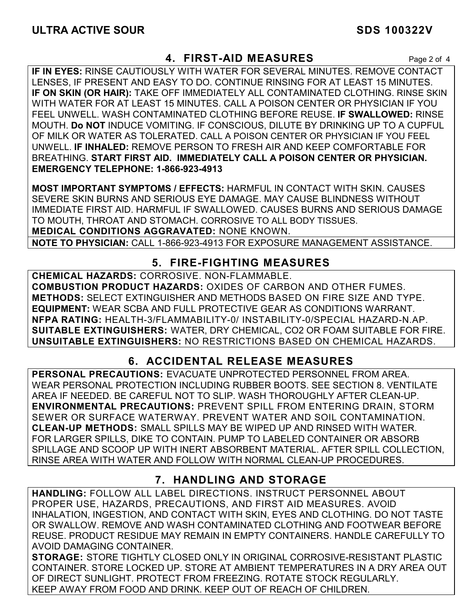# **4. FIRST-AID MEASURES** Page 2 of 4

**IF IN EYES:** RINSE CAUTIOUSLY WITH WATER FOR SEVERAL MINUTES. REMOVE CONTACT LENSES, IF PRESENT AND EASY TO DO. CONTINUE RINSING FOR AT LEAST 15 MINUTES. **IF ON SKIN (OR HAIR):** TAKE OFF IMMEDIATELY ALL CONTAMINATED CLOTHING. RINSE SKIN WITH WATER FOR AT LEAST 15 MINUTES. CALL A POISON CENTER OR PHYSICIAN IF YOU FEEL UNWELL. WASH CONTAMINATED CLOTHING BEFORE REUSE. **IF SWALLOWED:** RINSE MOUTH. **Do NOT** INDUCE VOMITING. IF CONSCIOUS, DILUTE BY DRINKING UP TO A CUPFUL OF MILK OR WATER AS TOLERATED. CALL A POISON CENTER OR PHYSICIAN IF YOU FEEL UNWELL. **IF INHALED:** REMOVE PERSON TO FRESH AIR AND KEEP COMFORTABLE FOR BREATHING. **START FIRST AID. IMMEDIATELY CALL A POISON CENTER OR PHYSICIAN. EMERGENCY TELEPHONE: 1-866-923-4913**

**MOST IMPORTANT SYMPTOMS / EFFECTS:** HARMFUL IN CONTACT WITH SKIN. CAUSES SEVERE SKIN BURNS AND SERIOUS EYE DAMAGE. MAY CAUSE BLINDNESS WITHOUT IMMEDIATE FIRST AID. HARMFUL IF SWALLOWED. CAUSES BURNS AND SERIOUS DAMAGE TO MOUTH, THROAT AND STOMACH. CORROSIVE TO ALL BODY TISSUES. **MEDICAL CONDITIONS AGGRAVATED:** NONE KNOWN.

**NOTE TO PHYSICIAN:** CALL 1-866-923-4913 FOR EXPOSURE MANAGEMENT ASSISTANCE.

# **5. FIRE-FIGHTING MEASURES**

**CHEMICAL HAZARDS:** CORROSIVE. NON-FLAMMABLE. **COMBUSTION PRODUCT HAZARDS:** OXIDES OF CARBON AND OTHER FUMES. **METHODS:** SELECT EXTINGUISHER AND METHODS BASED ON FIRE SIZE AND TYPE. **EQUIPMENT:** WEAR SCBA AND FULL PROTECTIVE GEAR AS CONDITIONS WARRANT. **NFPA RATING:** HEALTH-3/FLAMMABILITY-0/ INSTABILITY-0/SPECIAL HAZARD-N.AP. **SUITABLE EXTINGUISHERS:** WATER, DRY CHEMICAL, CO2 OR FOAM SUITABLE FOR FIRE. **UNSUITABLE EXTINGUISHERS:** NO RESTRICTIONS BASED ON CHEMICAL HAZARDS.

# **6. ACCIDENTAL RELEASE MEASURES**

**PERSONAL PRECAUTIONS:** EVACUATE UNPROTECTED PERSONNEL FROM AREA. WEAR PERSONAL PROTECTION INCLUDING RUBBER BOOTS. SEE SECTION 8. VENTILATE AREA IF NEEDED. BE CAREFUL NOT TO SLIP. WASH THOROUGHLY AFTER CLEAN-UP. **ENVIRONMENTAL PRECAUTIONS:** PREVENT SPILL FROM ENTERING DRAIN, STORM SEWER OR SURFACE WATERWAY. PREVENT WATER AND SOIL CONTAMINATION. **CLEAN-UP METHODS:** SMALL SPILLS MAY BE WIPED UP AND RINSED WITH WATER. FOR LARGER SPILLS, DIKE TO CONTAIN. PUMP TO LABELED CONTAINER OR ABSORB SPILLAGE AND SCOOP UP WITH INERT ABSORBENT MATERIAL. AFTER SPILL COLLECTION, RINSE AREA WITH WATER AND FOLLOW WITH NORMAL CLEAN-UP PROCEDURES.

# **7. HANDLING AND STORAGE**

**HANDLING:** FOLLOW ALL LABEL DIRECTIONS. INSTRUCT PERSONNEL ABOUT PROPER USE, HAZARDS, PRECAUTIONS, AND FIRST AID MEASURES. AVOID INHALATION, INGESTION, AND CONTACT WITH SKIN, EYES AND CLOTHING. DO NOT TASTE OR SWALLOW. REMOVE AND WASH CONTAMINATED CLOTHING AND FOOTWEAR BEFORE REUSE. PRODUCT RESIDUE MAY REMAIN IN EMPTY CONTAINERS. HANDLE CAREFULLY TO AVOID DAMAGING CONTAINER.

**STORAGE:** STORE TIGHTLY CLOSED ONLY IN ORIGINAL CORROSIVE-RESISTANT PLASTIC CONTAINER. STORE LOCKED UP. STORE AT AMBIENT TEMPERATURES IN A DRY AREA OUT OF DIRECT SUNLIGHT. PROTECT FROM FREEZING. ROTATE STOCK REGULARLY. KEEP AWAY FROM FOOD AND DRINK. KEEP OUT OF REACH OF CHILDREN.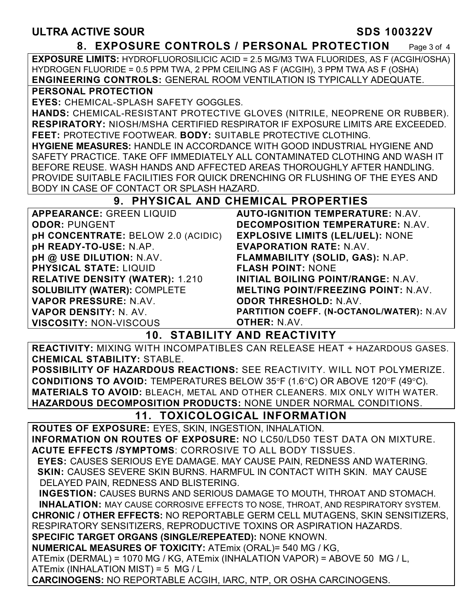## **8. EXPOSURE CONTROLS / PERSONAL PROTECTION** Page 3 of 4

**EXPOSURE LIMITS:** HYDROFLUOROSILICIC ACID = 2.5 MG/M3 TWA FLUORIDES, AS F (ACGIH/OSHA) HYDROGEN FLUORIDE = 0.5 PPM TWA, 2 PPM CEILING AS F (ACGIH), 3 PPM TWA AS F (OSHA) **ENGINEERING CONTROLS:** GENERAL ROOM VENTILATION IS TYPICALLY ADEQUATE.

#### **PERSONAL PROTECTION**

**EYES:** CHEMICAL-SPLASH SAFETY GOGGLES.

**HANDS:** CHEMICAL-RESISTANT PROTECTIVE GLOVES (NITRILE, NEOPRENE OR RUBBER). **RESPIRATORY:** NIOSH/MSHA CERTIFIED RESPIRATOR IF EXPOSURE LIMITS ARE EXCEEDED. **FEET:** PROTECTIVE FOOTWEAR. **BODY:** SUITABLE PROTECTIVE CLOTHING.

**HYGIENE MEASURES:** HANDLE IN ACCORDANCE WITH GOOD INDUSTRIAL HYGIENE AND SAFETY PRACTICE. TAKE OFF IMMEDIATELY ALL CONTAMINATED CLOTHING AND WASH IT BEFORE REUSE. WASH HANDS AND AFFECTED AREAS THOROUGHLY AFTER HANDLING. PROVIDE SUITABLE FACILITIES FOR QUICK DRENCHING OR FLUSHING OF THE EYES AND BODY IN CASE OF CONTACT OR SPLASH HAZARD.

## **9. PHYSICAL AND CHEMICAL PROPERTIES**

| <b>APPEARANCE: GREEN LIQUID</b>        | <b>AUTO-IGNITION TEMPERATURE: N.AV.</b>    |
|----------------------------------------|--------------------------------------------|
| <b>ODOR: PUNGENT</b>                   | <b>DECOMPOSITION TEMPERATURE: N.AV.</b>    |
| pH CONCENTRATE: BELOW 2.0 (ACIDIC)     | <b>EXPLOSIVE LIMITS (LEL/UEL): NONE</b>    |
| pH READY-TO-USE: N.AP.                 | <b>EVAPORATION RATE: N.AV.</b>             |
| pH @ USE DILUTION: N.AV.               | FLAMMABILITY (SOLID, GAS): N.AP.           |
| <b>PHYSICAL STATE: LIQUID</b>          | <b>FLASH POINT: NONE</b>                   |
| <b>RELATIVE DENSITY (WATER): 1.210</b> | <b>INITIAL BOILING POINT/RANGE: N.AV.</b>  |
| <b>SOLUBILITY (WATER): COMPLETE</b>    | <b>MELTING POINT/FREEZING POINT: N.AV.</b> |
| VAPOR PRESSURE: N.AV.                  | <b>ODOR THRESHOLD: N.AV.</b>               |
| VAPOR DENSITY: N. AV.                  | PARTITION COEFF. (N-OCTANOL/WATER): N.AV   |
| <b>VISCOSITY: NON-VISCOUS</b>          | <b>OTHER: N.AV.</b>                        |

# **10. STABILITY AND REACTIVITY**

**REACTIVITY:** MIXING WITH INCOMPATIBLES CAN RELEASE HEAT + HAZARDOUS GASES. **CHEMICAL STABILITY:** STABLE.

**POSSIBILITY OF HAZARDOUS REACTIONS:** SEE REACTIVITY. WILL NOT POLYMERIZE. **CONDITIONS TO AVOID:** TEMPERATURES BELOW 35°F (1.6°C) OR ABOVE 120°F (49°C). **MATERIALS TO AVOID:** BLEACH, METAL AND OTHER CLEANERS. MIX ONLY WITH WATER. **HAZARDOUS DECOMPOSITION PRODUCTS:** NONE UNDER NORMAL CONDITIONS.

# **11. TOXICOLOGICAL INFORMATION**

**ROUTES OF EXPOSURE:** EYES, SKIN, INGESTION, INHALATION.

**INFORMATION ON ROUTES OF EXPOSURE:** NO LC50/LD50 TEST DATA ON MIXTURE. **ACUTE EFFECTS /SYMPTOMS**: CORROSIVE TO ALL BODY TISSUES.

 **EYES:** CAUSES SERIOUS EYE DAMAGE. MAY CAUSE PAIN, REDNESS AND WATERING.  **SKIN:** CAUSES SEVERE SKIN BURNS. HARMFUL IN CONTACT WITH SKIN. MAY CAUSE DELAYED PAIN, REDNESS AND BLISTERING.

 **INGESTION:** CAUSES BURNS AND SERIOUS DAMAGE TO MOUTH, THROAT AND STOMACH. **INHALATION:** MAY CAUSE CORROSIVE EFFECTS TO NOSE, THROAT, AND RESPIRATORY SYSTEM. **CHRONIC / OTHER EFFECTS:** NO REPORTABLE GERM CELL MUTAGENS, SKIN SENSITIZERS, RESPIRATORY SENSITIZERS, REPRODUCTIVE TOXINS OR ASPIRATION HAZARDS.

**SPECIFIC TARGET ORGANS (SINGLE/REPEATED):** NONE KNOWN.

**NUMERICAL MEASURES OF TOXICITY:** ATEmix (ORAL)= 540 MG / KG,

ATEmix (DERMAL) = 1070 MG / KG, ATEmix (INHALATION VAPOR) = ABOVE 50 MG / L, ATEmix (INHALATION MIST) = 5 MG / L

**CARCINOGENS:** NO REPORTABLE ACGIH, IARC, NTP, OR OSHA CARCINOGENS.